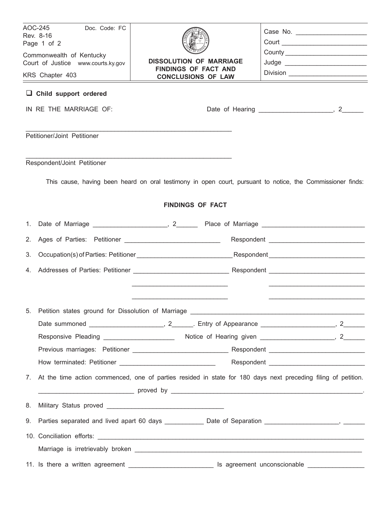| AOC-245<br>Doc. Code: FC<br>Rev. 8-16<br>Page 1 of 2   |                                                                                                               | Court ____________________________ |  |  |
|--------------------------------------------------------|---------------------------------------------------------------------------------------------------------------|------------------------------------|--|--|
| Commonwealth of Kentucky                               | <b>DISSOLUTION OF MARRIAGE</b><br><b>FINDINGS OF FACT AND</b>                                                 |                                    |  |  |
| Court of Justice www.courts.ky.gov                     |                                                                                                               |                                    |  |  |
| KRS Chapter 403                                        | <b>CONCLUSIONS OF LAW</b>                                                                                     |                                    |  |  |
| $\Box$ Child support ordered<br>IN RE THE MARRIAGE OF: |                                                                                                               |                                    |  |  |
|                                                        |                                                                                                               |                                    |  |  |
| Petitioner/Joint Petitioner                            |                                                                                                               |                                    |  |  |
| Respondent/Joint Petitioner                            |                                                                                                               |                                    |  |  |
|                                                        | This cause, having been heard on oral testimony in open court, pursuant to notice, the Commissioner finds:    |                                    |  |  |
|                                                        | <b>FINDINGS OF FACT</b>                                                                                       |                                    |  |  |
|                                                        |                                                                                                               |                                    |  |  |
| 2.                                                     |                                                                                                               |                                    |  |  |
| 3.                                                     |                                                                                                               |                                    |  |  |
|                                                        |                                                                                                               |                                    |  |  |
|                                                        |                                                                                                               |                                    |  |  |
| 5.                                                     |                                                                                                               |                                    |  |  |
|                                                        |                                                                                                               |                                    |  |  |
|                                                        |                                                                                                               |                                    |  |  |
|                                                        |                                                                                                               |                                    |  |  |
|                                                        |                                                                                                               |                                    |  |  |
| 7.                                                     | At the time action commenced, one of parties resided in state for 180 days next preceding filing of petition. |                                    |  |  |
|                                                        |                                                                                                               |                                    |  |  |
| 8.                                                     |                                                                                                               |                                    |  |  |
|                                                        | 9. Parties separated and lived apart 60 days _____________ Date of Separation ____________________, _________ |                                    |  |  |
|                                                        |                                                                                                               |                                    |  |  |
|                                                        |                                                                                                               |                                    |  |  |
|                                                        | 11. Is there a written agreement _______________________________ Is agreement unconscionable ________________ |                                    |  |  |